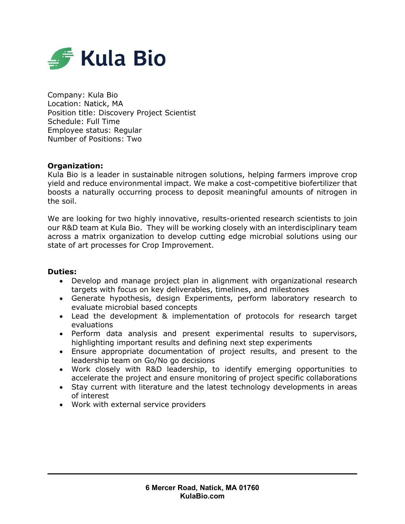

Company: Kula Bio Location: Natick, MA Position title: Discovery Project Scientist Schedule: Full Time Employee status: Regular Number of Positions: Two

## **Organization:**

Kula Bio is a leader in sustainable nitrogen solutions, helping farmers improve crop yield and reduce environmental impact. We make a cost-competitive biofertilizer that boosts a naturally occurring process to deposit meaningful amounts of nitrogen in the soil.

We are looking for two highly innovative, results-oriented research scientists to join our R&D team at Kula Bio. They will be working closely with an interdisciplinary team across a matrix organization to develop cutting edge microbial solutions using our state of art processes for Crop Improvement.

## **Duties:**

- Develop and manage project plan in alignment with organizational research targets with focus on key deliverables, timelines, and milestones
- Generate hypothesis, design Experiments, perform laboratory research to evaluate microbial based concepts
- Lead the development & implementation of protocols for research target evaluations
- Perform data analysis and present experimental results to supervisors, highlighting important results and defining next step experiments
- Ensure appropriate documentation of project results, and present to the leadership team on Go/No go decisions
- Work closely with R&D leadership, to identify emerging opportunities to accelerate the project and ensure monitoring of project specific collaborations
- Stay current with literature and the latest technology developments in areas of interest
- Work with external service providers